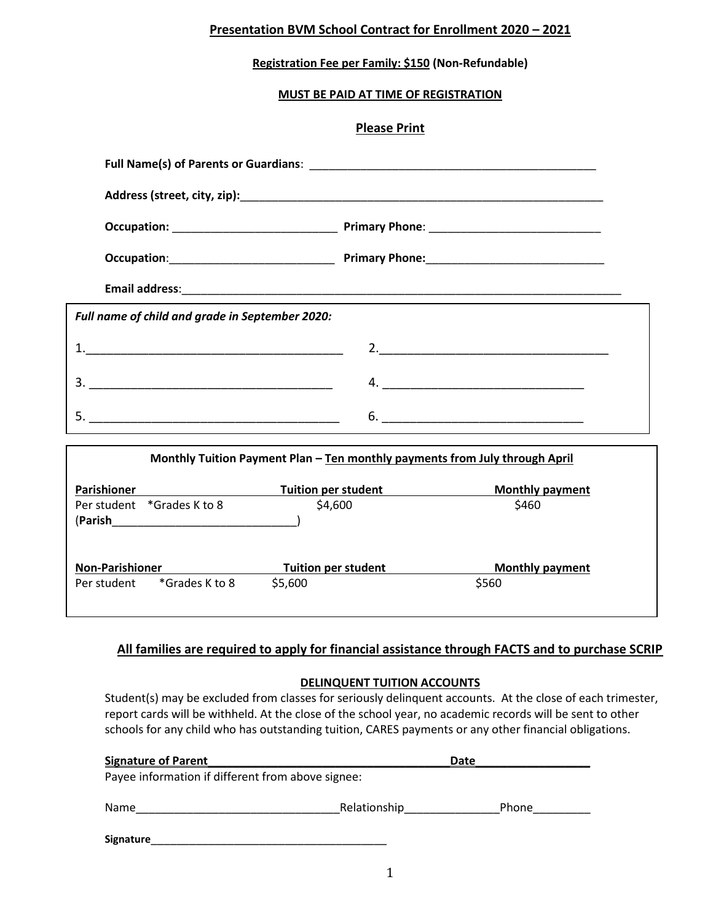## **Presentation BVM School Contract for Enrollment 2020 – 2021**

## **Registration Fee per Family: \$150 (Non-Refundable)**

## **MUST BE PAID AT TIME OF REGISTRATION**

#### **Please Print**

| Full name of child and grade in September 2020:                             |                     |  |                        |  |  |  |  |
|-----------------------------------------------------------------------------|---------------------|--|------------------------|--|--|--|--|
|                                                                             |                     |  |                        |  |  |  |  |
|                                                                             |                     |  |                        |  |  |  |  |
|                                                                             |                     |  |                        |  |  |  |  |
| Monthly Tuition Payment Plan - Ten monthly payments from July through April |                     |  |                        |  |  |  |  |
| Parishioner <b>Example 2018</b> Tuition per student                         |                     |  | <b>Monthly payment</b> |  |  |  |  |
| Per student *Grades K to 8                                                  | \$4,600             |  | \$460                  |  |  |  |  |
| <b>Non-Parishioner Non-Parishioner</b>                                      | Tuition per student |  | <b>Monthly payment</b> |  |  |  |  |
| Per student *Grades K to 8                                                  | \$5,600             |  | \$560                  |  |  |  |  |

# **All families are required to apply for financial assistance through FACTS and to purchase SCRIP**

### **DELINQUENT TUITION ACCOUNTS**

Student(s) may be excluded from classes for seriously delinquent accounts. At the close of each trimester, report cards will be withheld. At the close of the school year, no academic records will be sent to other schools for any child who has outstanding tuition, CARES payments or any other financial obligations.

| <b>Signature of Parent</b>                        |              | Date  |  |  |  |  |
|---------------------------------------------------|--------------|-------|--|--|--|--|
| Payee information if different from above signee: |              |       |  |  |  |  |
| Name                                              | Relationship | Phone |  |  |  |  |
| <b>Signature</b>                                  |              |       |  |  |  |  |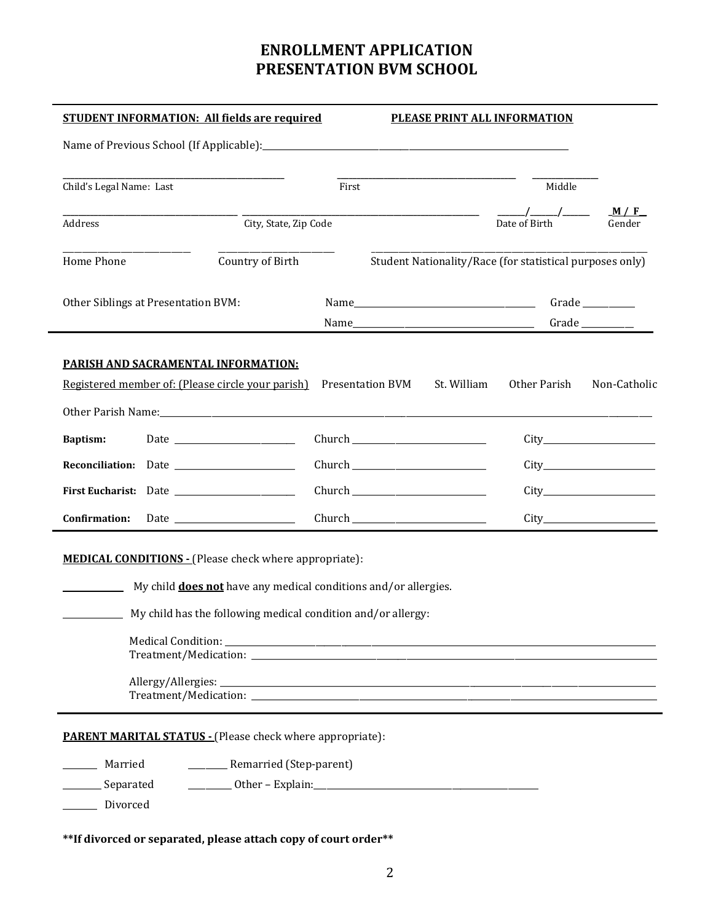# **ENROLLMENT APPLICATION PRESENTATION BVM SCHOOL**

| <b>STUDENT INFORMATION: All fields are required</b>                                                                                                                                                                  |       | PLEASE PRINT ALL INFORMATION |                                                          |              |  |
|----------------------------------------------------------------------------------------------------------------------------------------------------------------------------------------------------------------------|-------|------------------------------|----------------------------------------------------------|--------------|--|
|                                                                                                                                                                                                                      |       |                              |                                                          |              |  |
| Child's Legal Name: Last                                                                                                                                                                                             | First |                              | Middle                                                   |              |  |
| City, State, Zip Code<br>Address                                                                                                                                                                                     |       |                              |                                                          | M/F          |  |
| Country of Birth<br>Home Phone                                                                                                                                                                                       |       |                              | Student Nationality/Race (for statistical purposes only) |              |  |
| Other Siblings at Presentation BVM:                                                                                                                                                                                  |       |                              |                                                          |              |  |
| <b>PARISH AND SACRAMENTAL INFORMATION:</b>                                                                                                                                                                           |       |                              |                                                          |              |  |
| Registered member of: (Please circle your parish) Presentation BVM St. William                                                                                                                                       |       |                              | Other Parish                                             | Non-Catholic |  |
|                                                                                                                                                                                                                      |       |                              |                                                          |              |  |
| <b>Baptism:</b>                                                                                                                                                                                                      |       |                              |                                                          |              |  |
|                                                                                                                                                                                                                      |       |                              |                                                          |              |  |
|                                                                                                                                                                                                                      |       |                              |                                                          |              |  |
|                                                                                                                                                                                                                      |       |                              |                                                          |              |  |
| <b>MEDICAL CONDITIONS - (Please check where appropriate):</b><br>My child <b>does not</b> have any medical conditions and/or allergies.<br>____________ My child has the following medical condition and/or allergy: |       |                              |                                                          |              |  |
| <b>PARENT MARITAL STATUS - (Please check where appropriate):</b><br>__________ Remarried (Step-parent)<br>Married<br>Separated<br>Divorced                                                                           |       |                              |                                                          |              |  |

**\*\*If divorced or separated, please attach copy of court order\*\***